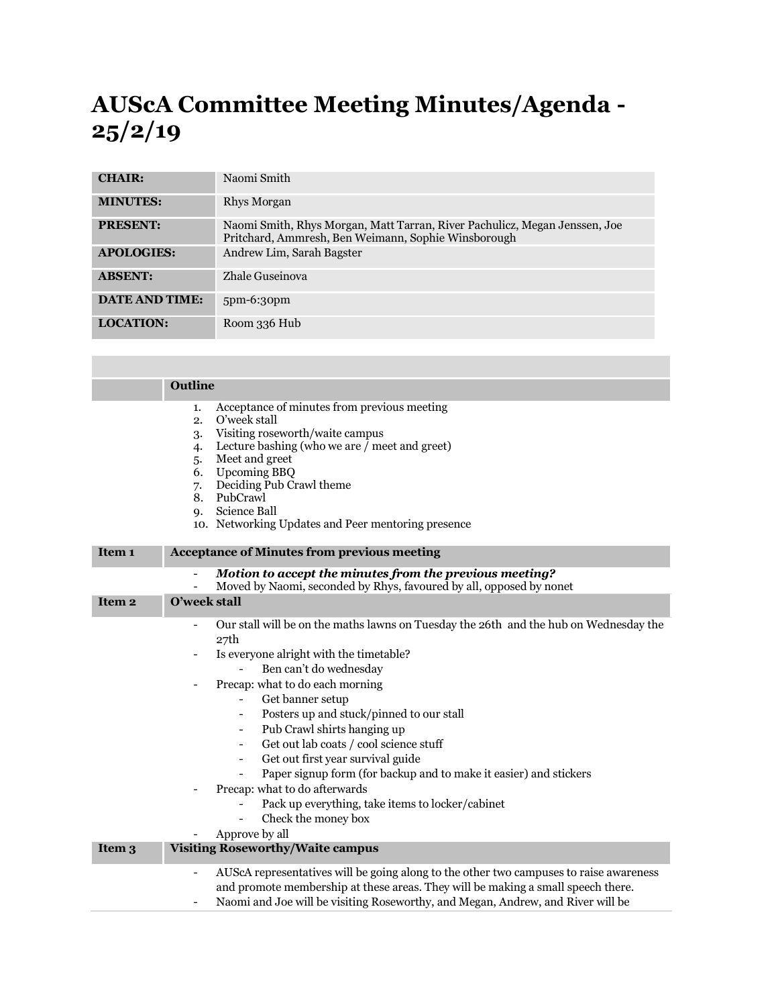## **AUScA Committee Meeting Minutes/Agenda - 25/2/19**

| <b>CHAIR:</b>         | Naomi Smith                                                                                                                       |
|-----------------------|-----------------------------------------------------------------------------------------------------------------------------------|
| <b>MINUTES:</b>       | Rhys Morgan                                                                                                                       |
| <b>PRESENT:</b>       | Naomi Smith, Rhys Morgan, Matt Tarran, River Pachulicz, Megan Jenssen, Joe<br>Pritchard, Ammresh, Ben Weimann, Sophie Winsborough |
| <b>APOLOGIES:</b>     | Andrew Lim, Sarah Bagster                                                                                                         |
| <b>ABSENT:</b>        | Zhale Guseinova                                                                                                                   |
| <b>DATE AND TIME:</b> | $5pm-6:30pm$                                                                                                                      |
| <b>LOCATION:</b>      | Room 336 Hub                                                                                                                      |

|                   | <b>Outline</b>                                                                                                                                                                                                                                                                                                                                                                                                                                                                                                                                                                                                                                                                                                                                                                                                                 |
|-------------------|--------------------------------------------------------------------------------------------------------------------------------------------------------------------------------------------------------------------------------------------------------------------------------------------------------------------------------------------------------------------------------------------------------------------------------------------------------------------------------------------------------------------------------------------------------------------------------------------------------------------------------------------------------------------------------------------------------------------------------------------------------------------------------------------------------------------------------|
|                   | Acceptance of minutes from previous meeting<br>1.<br>O'week stall<br>2.<br>Visiting roseworth/waite campus<br>3.<br>Lecture bashing (who we are / meet and greet)<br>4.<br>Meet and greet<br>5.<br><b>Upcoming BBQ</b><br>6.<br>Deciding Pub Crawl theme<br>7.<br>PubCrawl<br>8.<br>Science Ball<br><b>q.</b><br>10. Networking Updates and Peer mentoring presence                                                                                                                                                                                                                                                                                                                                                                                                                                                            |
| Item 1            | <b>Acceptance of Minutes from previous meeting</b>                                                                                                                                                                                                                                                                                                                                                                                                                                                                                                                                                                                                                                                                                                                                                                             |
|                   | Motion to accept the minutes from the previous meeting?<br>Moved by Naomi, seconded by Rhys, favoured by all, opposed by nonet<br>$\overline{a}$                                                                                                                                                                                                                                                                                                                                                                                                                                                                                                                                                                                                                                                                               |
| Item <sub>2</sub> | O'week stall                                                                                                                                                                                                                                                                                                                                                                                                                                                                                                                                                                                                                                                                                                                                                                                                                   |
|                   | Our stall will be on the maths lawns on Tuesday the 26th and the hub on Wednesday the<br>$\overline{\phantom{a}}$<br>27th<br>Is everyone alright with the timetable?<br>$\overline{\phantom{a}}$<br>Ben can't do wednesday<br>Precap: what to do each morning<br>$\overline{\phantom{a}}$<br>Get banner setup<br>$\overline{\phantom{0}}$<br>Posters up and stuck/pinned to our stall<br>$\qquad \qquad \blacksquare$<br>Pub Crawl shirts hanging up<br>$\overline{\phantom{a}}$<br>Get out lab coats / cool science stuff<br>$\qquad \qquad \blacksquare$<br>Get out first year survival guide<br>$\overline{\phantom{0}}$<br>Paper signup form (for backup and to make it easier) and stickers<br>Precap: what to do afterwards<br>Pack up everything, take items to locker/cabinet<br>Check the money box<br>Approve by all |
| Item 3            | <b>Visiting Roseworthy/Waite campus</b>                                                                                                                                                                                                                                                                                                                                                                                                                                                                                                                                                                                                                                                                                                                                                                                        |
|                   | AUScA representatives will be going along to the other two campuses to raise awareness<br>$\overline{\phantom{0}}$<br>and promote membership at these areas. They will be making a small speech there.<br>Naomi and Joe will be visiting Roseworthy, and Megan, Andrew, and River will be                                                                                                                                                                                                                                                                                                                                                                                                                                                                                                                                      |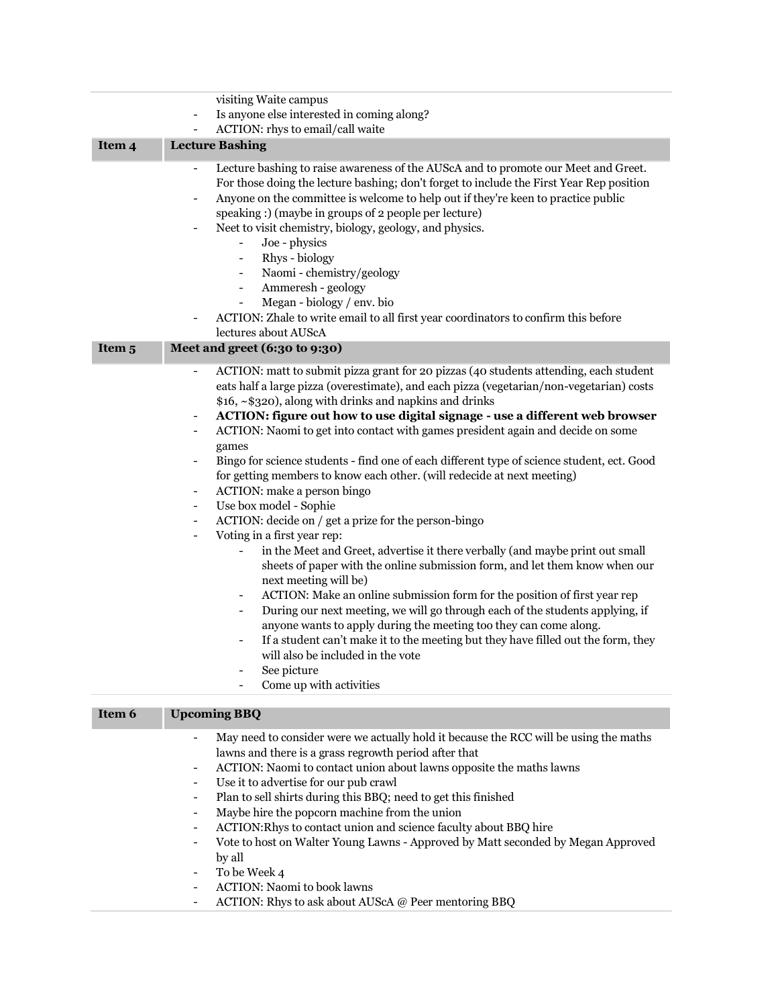|                   | visiting Waite campus                                                                                                                                                                                                                                                                                                                                                                                                                                                                                                                                                                                                                                                                                                                                                                                                                                                                                                                                                                                                                                                                                                                                                                                                                                                                                                                                                                                                                                                                                                                                                                             |
|-------------------|---------------------------------------------------------------------------------------------------------------------------------------------------------------------------------------------------------------------------------------------------------------------------------------------------------------------------------------------------------------------------------------------------------------------------------------------------------------------------------------------------------------------------------------------------------------------------------------------------------------------------------------------------------------------------------------------------------------------------------------------------------------------------------------------------------------------------------------------------------------------------------------------------------------------------------------------------------------------------------------------------------------------------------------------------------------------------------------------------------------------------------------------------------------------------------------------------------------------------------------------------------------------------------------------------------------------------------------------------------------------------------------------------------------------------------------------------------------------------------------------------------------------------------------------------------------------------------------------------|
|                   | Is anyone else interested in coming along?<br>$\qquad \qquad \blacksquare$                                                                                                                                                                                                                                                                                                                                                                                                                                                                                                                                                                                                                                                                                                                                                                                                                                                                                                                                                                                                                                                                                                                                                                                                                                                                                                                                                                                                                                                                                                                        |
|                   | ACTION: rhys to email/call waite                                                                                                                                                                                                                                                                                                                                                                                                                                                                                                                                                                                                                                                                                                                                                                                                                                                                                                                                                                                                                                                                                                                                                                                                                                                                                                                                                                                                                                                                                                                                                                  |
| Item 4            | <b>Lecture Bashing</b>                                                                                                                                                                                                                                                                                                                                                                                                                                                                                                                                                                                                                                                                                                                                                                                                                                                                                                                                                                                                                                                                                                                                                                                                                                                                                                                                                                                                                                                                                                                                                                            |
|                   | Lecture bashing to raise awareness of the AUScA and to promote our Meet and Greet.<br>$\overline{\phantom{a}}$<br>For those doing the lecture bashing; don't forget to include the First Year Rep position<br>Anyone on the committee is welcome to help out if they're keen to practice public<br>$\overline{\phantom{a}}$<br>speaking :) (maybe in groups of 2 people per lecture)<br>Neet to visit chemistry, biology, geology, and physics.<br>Joe - physics<br>$\overline{\phantom{0}}$<br>Rhys - biology<br>$\overline{\phantom{0}}$<br>Naomi - chemistry/geology<br>$\overline{\phantom{0}}$<br>Ammeresh - geology<br>$\qquad \qquad -$<br>Megan - biology / env. bio<br>ACTION: Zhale to write email to all first year coordinators to confirm this before                                                                                                                                                                                                                                                                                                                                                                                                                                                                                                                                                                                                                                                                                                                                                                                                                                |
|                   | lectures about AUScA                                                                                                                                                                                                                                                                                                                                                                                                                                                                                                                                                                                                                                                                                                                                                                                                                                                                                                                                                                                                                                                                                                                                                                                                                                                                                                                                                                                                                                                                                                                                                                              |
| Item <sub>5</sub> | Meet and greet (6:30 to 9:30)                                                                                                                                                                                                                                                                                                                                                                                                                                                                                                                                                                                                                                                                                                                                                                                                                                                                                                                                                                                                                                                                                                                                                                                                                                                                                                                                                                                                                                                                                                                                                                     |
|                   | ACTION: matt to submit pizza grant for 20 pizzas (40 students attending, each student<br>$\overline{\phantom{0}}$<br>eats half a large pizza (overestimate), and each pizza (vegetarian/non-vegetarian) costs<br>\$16, ~\$320), along with drinks and napkins and drinks<br>ACTION: figure out how to use digital signage - use a different web browser<br>$\overline{\phantom{a}}$<br>ACTION: Naomi to get into contact with games president again and decide on some<br>$\overline{\phantom{a}}$<br>games<br>Bingo for science students - find one of each different type of science student, ect. Good<br>for getting members to know each other. (will redecide at next meeting)<br>ACTION: make a person bingo<br>Use box model - Sophie<br>$\qquad \qquad \blacksquare$<br>ACTION: decide on / get a prize for the person-bingo<br>$\qquad \qquad \blacksquare$<br>Voting in a first year rep:<br>$\qquad \qquad \blacksquare$<br>in the Meet and Greet, advertise it there verbally (and maybe print out small<br>$\overline{\phantom{0}}$<br>sheets of paper with the online submission form, and let them know when our<br>next meeting will be)<br>ACTION: Make an online submission form for the position of first year rep<br>$\overline{\phantom{0}}$<br>During our next meeting, we will go through each of the students applying, if<br>-<br>anyone wants to apply during the meeting too they can come along.<br>If a student can't make it to the meeting but they have filled out the form, they<br>will also be included in the vote<br>See picture<br>Come up with activities |
| Item 6            | <b>Upcoming BBQ</b>                                                                                                                                                                                                                                                                                                                                                                                                                                                                                                                                                                                                                                                                                                                                                                                                                                                                                                                                                                                                                                                                                                                                                                                                                                                                                                                                                                                                                                                                                                                                                                               |
|                   |                                                                                                                                                                                                                                                                                                                                                                                                                                                                                                                                                                                                                                                                                                                                                                                                                                                                                                                                                                                                                                                                                                                                                                                                                                                                                                                                                                                                                                                                                                                                                                                                   |
|                   | May need to consider were we actually hold it because the RCC will be using the maths<br>$\qquad \qquad -$<br>lawns and there is a grass regrowth period after that<br>ACTION: Naomi to contact union about lawns opposite the maths lawns<br>$\overline{\phantom{a}}$<br>Use it to advertise for our pub crawl<br>$\overline{\phantom{a}}$<br>Plan to sell shirts during this BBQ; need to get this finished<br>$\overline{\phantom{a}}$<br>Maybe hire the popcorn machine from the union<br>$\overline{\phantom{a}}$<br>ACTION: Rhys to contact union and science faculty about BBQ hire<br>$\qquad \qquad -$<br>Vote to host on Walter Young Lawns - Approved by Matt seconded by Megan Approved                                                                                                                                                                                                                                                                                                                                                                                                                                                                                                                                                                                                                                                                                                                                                                                                                                                                                               |
|                   | by all                                                                                                                                                                                                                                                                                                                                                                                                                                                                                                                                                                                                                                                                                                                                                                                                                                                                                                                                                                                                                                                                                                                                                                                                                                                                                                                                                                                                                                                                                                                                                                                            |

- To be Week 4
- ACTION: Naomi to book lawns
- ACTION: Rhys to ask about AUScA @ Peer mentoring BBQ